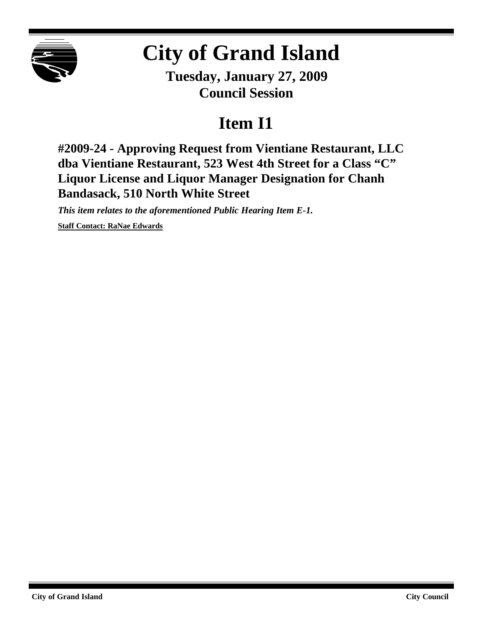

## **City of Grand Island**

**Tuesday, January 27, 2009 Council Session**

## **Item I1**

**#2009-24 - Approving Request from Vientiane Restaurant, LLC dba Vientiane Restaurant, 523 West 4th Street for a Class "C" Liquor License and Liquor Manager Designation for Chanh Bandasack, 510 North White Street**

*This item relates to the aforementioned Public Hearing Item E-1.*

**Staff Contact: RaNae Edwards**